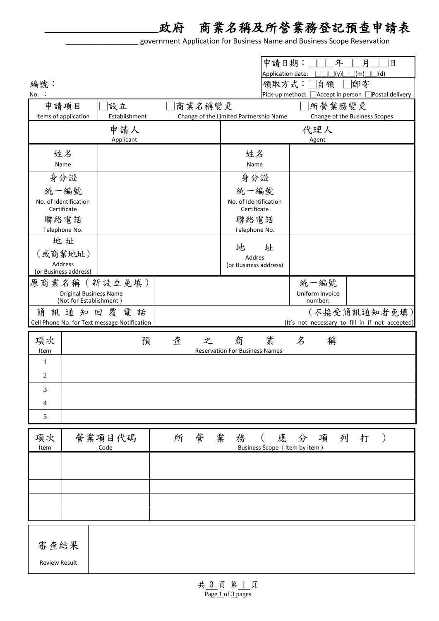政府 商業名稱及所營業務登記預查申請表

\_\_\_\_\_\_\_\_\_\_\_\_\_\_\_\_\_\_ government Application for Business Name and Business Scope Reservation

|                                                                           |                       |                  |                                        |                                       | 申請日期: <br>Application date: | 年<br>$\exists$ (y) $\Box$                            | 日<br> (m) | 日<br>$\sqcap$ (d) |
|---------------------------------------------------------------------------|-----------------------|------------------|----------------------------------------|---------------------------------------|-----------------------------|------------------------------------------------------|-----------|-------------------|
| 編號:                                                                       |                       |                  |                                        |                                       |                             | 領取方式:□自領                                             | □郵寄       |                   |
| $No.$ :                                                                   |                       |                  |                                        |                                       |                             | Pick-up method: □ Accept in person □ Postal delivery |           |                   |
|                                                                           | 申請項目                  | 設立               | 商業名稱變更                                 |                                       |                             | □所營業務變更                                              |           |                   |
|                                                                           | Items of application  | Establishment    | Change of the Limited Partnership Name |                                       |                             | Change of the Business Scopes                        |           |                   |
|                                                                           |                       | 申請人<br>Applicant |                                        |                                       |                             | 代理人<br>Agent                                         |           |                   |
| 姓名<br>Name                                                                |                       |                  | 姓名<br>Name                             |                                       |                             |                                                      |           |                   |
|                                                                           | 身分證                   |                  |                                        | 身分證                                   |                             |                                                      |           |                   |
|                                                                           | 統一編號                  |                  |                                        | 統一編號                                  |                             |                                                      |           |                   |
| No. of Identification<br>Certificate                                      |                       |                  | No. of Identification<br>Certificate   |                                       |                             |                                                      |           |                   |
| 聯絡電話<br>Telephone No.                                                     |                       |                  | 聯絡電話<br>Telephone No.                  |                                       |                             |                                                      |           |                   |
|                                                                           | 地址                    |                  |                                        | 地                                     | 址                           |                                                      |           |                   |
|                                                                           | (或商業地址)<br>Address    |                  |                                        | Addres<br>(or Business address)       |                             |                                                      |           |                   |
|                                                                           | (or Business address) |                  |                                        |                                       |                             | 統一編號                                                 |           |                   |
| 原商業名稱 (新設立免填)<br><b>Original Business Name</b><br>(Not for Establishment) |                       |                  |                                        |                                       |                             | Uniform invoice<br>number:                           |           |                   |
| 簡<br>訊通知回覆電話<br>Cell Phone No. for Text message Notification              |                       |                  |                                        |                                       |                             | (It's not necessary to fill in if not accepted)      |           | (不接受簡訊通知者免填)      |
| 項次                                                                        |                       | 預                | 查<br>之                                 | 商                                     | 業                           | $\cancel{z}$<br>稱                                    |           |                   |
| Item<br>1                                                                 |                       |                  |                                        | <b>Reservation For Business Names</b> |                             |                                                      |           |                   |
| 2                                                                         |                       |                  |                                        |                                       |                             |                                                      |           |                   |
| 3                                                                         |                       |                  |                                        |                                       |                             |                                                      |           |                   |
| 4                                                                         |                       |                  |                                        |                                       |                             |                                                      |           |                   |
| 5                                                                         |                       |                  |                                        |                                       |                             |                                                      |           |                   |
| 項次<br>Item                                                                |                       | 營業項目代碼<br>Code   | 所營                                     | 業<br>務 (                              |                             | 應 分<br>Business Scope (item by item)                 | 項列打)      |                   |
|                                                                           |                       |                  |                                        |                                       |                             |                                                      |           |                   |
|                                                                           |                       |                  |                                        |                                       |                             |                                                      |           |                   |
|                                                                           |                       |                  |                                        |                                       |                             |                                                      |           |                   |
|                                                                           |                       |                  |                                        |                                       |                             |                                                      |           |                   |
|                                                                           |                       |                  |                                        |                                       |                             |                                                      |           |                   |
| 審查結果                                                                      |                       |                  |                                        |                                       |                             |                                                      |           |                   |
| <b>Review Result</b>                                                      |                       |                  |                                        |                                       |                             |                                                      |           |                   |
|                                                                           |                       |                  |                                        |                                       |                             |                                                      |           |                   |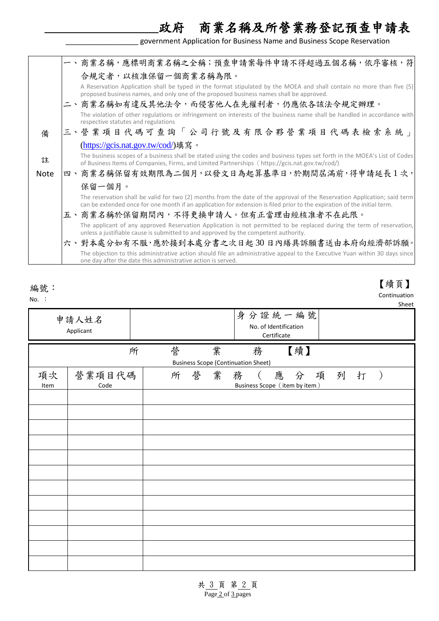government Application for Business Name and Business Scope Reservation

政府 商業名稱及所營業務登記預查申請表

【續頁】 Continuation

|             | 一、商業名稱,應標明商業名稱之全稱;預查申請案每件申請不得超過五個名稱,依序審核,符                                                                                                                                                                                                            |
|-------------|-------------------------------------------------------------------------------------------------------------------------------------------------------------------------------------------------------------------------------------------------------|
|             | 合規定者,以核准保留一個商業名稱為限。                                                                                                                                                                                                                                   |
|             | A Reservation Application shall be typed in the format stipulated by the MOEA and shall contain no more than five (5)<br>proposed business names, and only one of the proposed business names shall be approved.                                      |
|             | 二、商業名稱如有違反其他法令,而侵害他人在先權利者,仍應依各該法令規定辦理。                                                                                                                                                                                                                |
|             | The violation of other regulations or infringement on interests of the business name shall be handled in accordance with<br>respective statutes and regulations                                                                                       |
| 備           | 三、營業項目代碼可查詢「公司行號及有限合夥營業項目代碼表檢索系統」                                                                                                                                                                                                                     |
|             | (https://gcis.nat.gov.tw/cod/)填寫。                                                                                                                                                                                                                     |
|             | The business scopes of a business shall be stated using the codes and business types set forth in the MOEA's List of Codes                                                                                                                            |
| 註           | of Business Items of Companies, Firms, and Limited Partnerships (https://gcis.nat.gov.tw/cod/)                                                                                                                                                        |
| <b>Note</b> | 四、商業名稱保留有效期限為二個月,以發文日為起算基準日,於期間屆滿前,得申請延長1次,                                                                                                                                                                                                           |
|             | 保留一個月。                                                                                                                                                                                                                                                |
|             | The reservation shall be valid for two (2) months from the date of the approval of the Reservation Application; said term<br>can be extended once for one month if an application for extension is filed prior to the expiration of the initial term. |
|             | 五、商業名稱於保留期間內,不得更換申請人。但有正當理由經核准者不在此限。                                                                                                                                                                                                                  |
|             | The applicant of any approved Reservation Application is not permitted to be replaced during the term of reservation,<br>unless a justifiable cause is submitted to and approved by the competent authority.                                          |
|             | 六、對本處分如有不服,應於接到本處分書之次日起30日內繕具訴願書送由本府向經濟部訴願。                                                                                                                                                                                                           |
|             | The objection to this administrative action should file an administrative appeal to the Executive Yuan within 30 days since<br>one day after the date this administrative action is served.                                                           |

編號:

No. :

| NO.                          |        |        |                                                           |          | Sheet |
|------------------------------|--------|--------|-----------------------------------------------------------|----------|-------|
| 申請人姓名<br>Applicant           |        |        | 身分證統一編號<br>No. of Identification<br>Certificate           |          |       |
|                              | 營<br>所 | 業      | 務<br><b>Business Scope (Continuation Sheet)</b>           | 【續】      |       |
| 營業項目代碼<br>項次<br>Code<br>Item | 所      | 營<br>業 | 務<br>應<br>$\overline{a}$<br>Business Scope (item by item) | 項 列<br>分 | 打     |
|                              |        |        |                                                           |          |       |
|                              |        |        |                                                           |          |       |
|                              |        |        |                                                           |          |       |
|                              |        |        |                                                           |          |       |
|                              |        |        |                                                           |          |       |
|                              |        |        |                                                           |          |       |
|                              |        |        |                                                           |          |       |
|                              |        |        |                                                           |          |       |
|                              |        |        |                                                           |          |       |
|                              |        |        |                                                           |          |       |
|                              |        |        |                                                           |          |       |
|                              |        |        |                                                           |          |       |